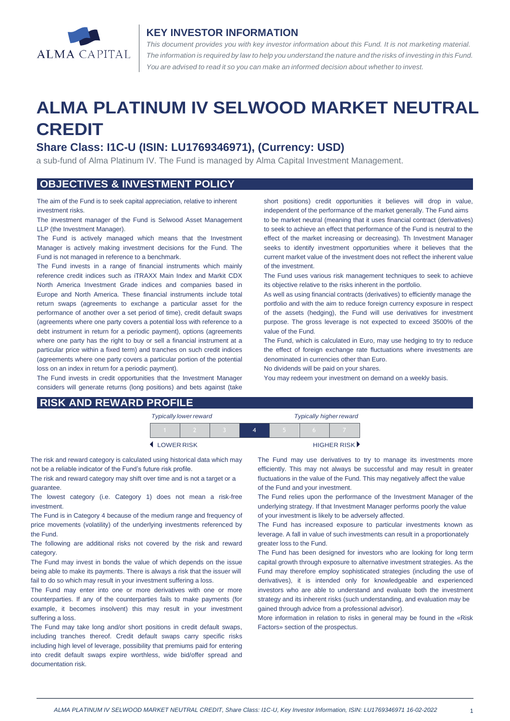

#### **KEY INVESTOR INFORMATION**

*This document provides you with key investor information about this Fund. It is not marketing material.*  The information is required by law to help you understand the nature and the risks of investing in this Fund. *You are advised to read it so you can make an informed decision about whether to invest.*

# **ALMA PLATINUM IV SELWOOD MARKET NEUTRAL CREDIT**

### **Share Class: I1C-U (ISIN: LU1769346971), (Currency: USD)**

a sub-fund of Alma Platinum IV. The Fund is managed by Alma Capital Investment Management.

### **OBJECTIVES & INVESTMENT POLICY**

The aim of the Fund is to seek capital appreciation, relative to inherent investment risks.

The investment manager of the Fund is Selwood Asset Management LLP (the Investment Manager).

The Fund is actively managed which means that the Investment Manager is actively making investment decisions for the Fund. The Fund is not managed in reference to a benchmark.

The Fund invests in a range of financial instruments which mainly reference credit indices such as iTRAXX Main Index and Markit CDX North America Investment Grade indices and companies based in Europe and North America. These financial instruments include total return swaps (agreements to exchange a particular asset for the performance of another over a set period of time), credit default swaps (agreements where one party covers a potential loss with reference to a debt instrument in return for a periodic payment), options (agreements where one party has the right to buy or sell a financial instrument at a particular price within a fixed term) and tranches on such credit indices (agreements where one party covers a particular portion of the potential loss on an index in return for a periodic payment).

The Fund invests in credit opportunities that the Investment Manager considers will generate returns (long positions) and bets against (take short positions) credit opportunities it believes will drop in value, independent of the performance of the market generally. The Fund aims to be market neutral (meaning that it uses financial contract (derivatives) to seek to achieve an effect that performance of the Fund is neutral to the effect of the market increasing or decreasing). Th Investment Manager seeks to identify investment opportunities where it believes that the current market value of the investment does not reflect the inherent value of the investment.

The Fund uses various risk management techniques to seek to achieve its objective relative to the risks inherent in the portfolio.

As well as using financial contracts (derivatives) to efficiently manage the portfolio and with the aim to reduce foreign currency exposure in respect of the assets (hedging), the Fund will use derivatives for investment purpose. The gross leverage is not expected to exceed 3500% of the value of the Fund.

The Fund, which is calculated in Euro, may use hedging to try to reduce the effect of foreign exchange rate fluctuations where investments are denominated in currencies other than Euro.

No dividends will be paid on your shares.

You may redeem your investment on demand on a weekly basis.

| <b>RISK AND REWARD PROFILE</b> |  |  |  |
|--------------------------------|--|--|--|
|                                |  |  |  |

| <b>Typically lower reward</b> |  |  |  | <b>Typically higher reward</b> |  |                             |
|-------------------------------|--|--|--|--------------------------------|--|-----------------------------|
|                               |  |  |  |                                |  |                             |
| <b>LOWER RISK</b>             |  |  |  |                                |  | HIGHER RISK <sup>&gt;</sup> |

The risk and reward category is calculated using historical data which may not be a reliable indicator of the Fund's future risk profile.

The risk and reward category may shift over time and is not a target or a guarantee.

The lowest category (i.e. Category 1) does not mean a risk-free investment.

The Fund is in Category 4 because of the medium range and frequency of price movements (volatility) of the underlying investments referenced by the Fund.

The following are additional risks not covered by the risk and reward category.

The Fund may invest in bonds the value of which depends on the issue being able to make its payments. There is always a risk that the issuer will fail to do so which may result in your investment suffering a loss.

The Fund may enter into one or more derivatives with one or more counterparties. If any of the counterparties fails to make payments (for example, it becomes insolvent) this may result in your investment suffering a loss.

The Fund may take long and/or short positions in credit default swaps, including tranches thereof. Credit default swaps carry specific risks including high level of leverage, possibility that premiums paid for entering into credit default swaps expire worthless, wide bid/offer spread and documentation risk.

The Fund may use derivatives to try to manage its investments more efficiently. This may not always be successful and may result in greater fluctuations in the value of the Fund. This may negatively affect the value of the Fund and your investment.

The Fund relies upon the performance of the Investment Manager of the underlying strategy. If that Investment Manager performs poorly the value of your investment is likely to be adversely affected.

The Fund has increased exposure to particular investments known as leverage. A fall in value of such investments can result in a proportionately greater loss to the Fund.

The Fund has been designed for investors who are looking for long term capital growth through exposure to alternative investment strategies. As the Fund may therefore employ sophisticated strategies (including the use of derivatives), it is intended only for knowledgeable and experienced investors who are able to understand and evaluate both the investment strategy and its inherent risks (such understanding, and evaluation may be gained through advice from a professional advisor).

More information in relation to risks in general may be found in the «Risk Factors» section of the prospectus.